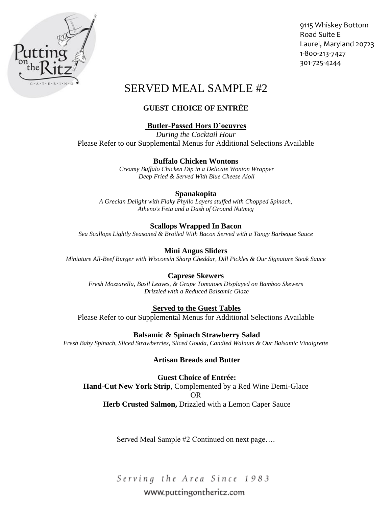

9115 Whiskey Bottom Road Suite E Laurel, Maryland 20723 1-800-213-7427 301-725-4244

# SERVED MEAL SAMPLE #2

# **GUEST CHOICE OF ENTRÉE**

# **Butler-Passed Hors D'oeuvres**

*During the Cocktail Hour* Please Refer to our Supplemental Menus for Additional Selections Available

## **Buffalo Chicken Wontons**

*Creamy Buffalo Chicken Dip in a Delicate Wonton Wrapper Deep Fried & Served With Blue Cheese Aioli*

## **Spanakopita**

*A Grecian Delight with Flaky Phyllo Layers stuffed with Chopped Spinach, Atheno's Feta and a Dash of Ground Nutmeg*

## **Scallops Wrapped In Bacon**

*Sea Scallops Lightly Seasoned & Broiled With Bacon Served with a Tangy Barbeque Sauce* 

## **Mini Angus Sliders**

*Miniature All-Beef Burger with Wisconsin Sharp Cheddar, Dill Pickles & Our Signature Steak Sauce*

## **Caprese Skewers**

*Fresh Mozzarella, Basil Leaves, & Grape Tomatoes Displayed on Bamboo Skewers Drizzled with a Reduced Balsamic Glaze*

## **Served to the Guest Tables**

Please Refer to our Supplemental Menus for Additional Selections Available

**Balsamic & Spinach Strawberry Salad**  *Fresh Baby Spinach, Sliced Strawberries, Sliced Gouda, Candied Walnuts & Our Balsamic Vinaigrette*

## **Artisan Breads and Butter**

**Guest Choice of Entrée: Hand-Cut New York Strip**, Complemented by a Red Wine Demi-Glace OR **Herb Crusted Salmon,** Drizzled with a Lemon Caper Sauce

Served Meal Sample #2 Continued on next page….

Serving the Area Since 1983

# www.puttingontheritz.com